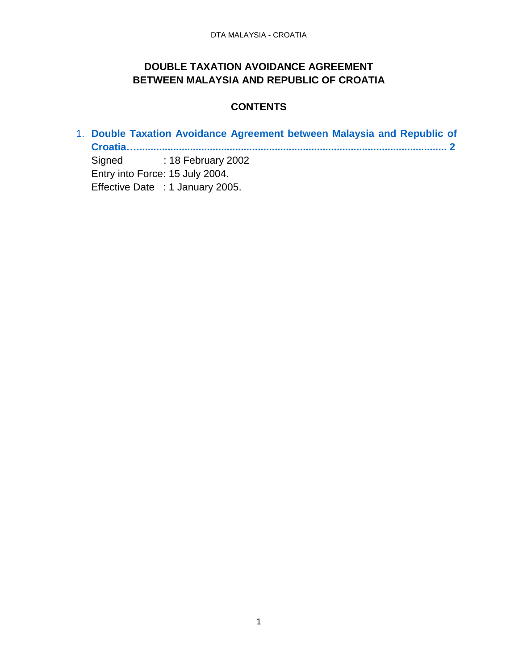#### **DOUBLE TAXATION AVOIDANCE AGREEMENT BETWEEN MALAYSIA AND REPUBLIC OF CROATIA**

#### **CONTENTS**

1. **[Double Taxation Avoidance Agreement between Malaysia and Republic of](#page-1-0)  [Croatia…..............................................................................................................](#page-1-0) 2** Signed : 18 February 2002 Entry into Force: 15 July 2004. Effective Date : 1 January 2005.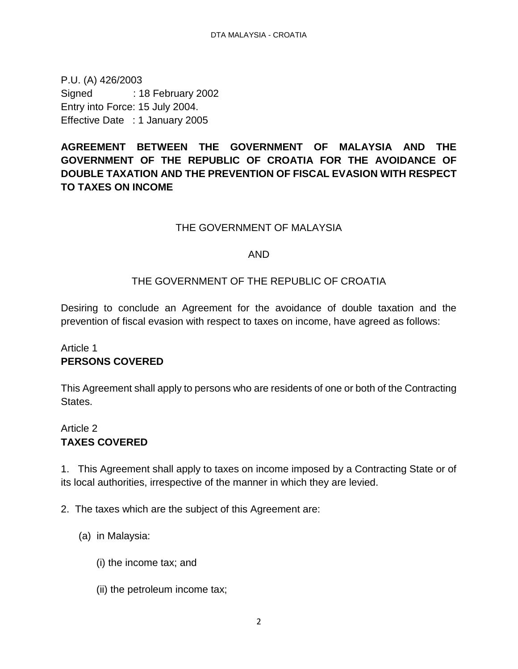<span id="page-1-0"></span>P.U. (A) 426/2003 Signed : 18 February 2002 Entry into Force: 15 July 2004. Effective Date : 1 January 2005

### **AGREEMENT BETWEEN THE GOVERNMENT OF MALAYSIA AND THE GOVERNMENT OF THE REPUBLIC OF CROATIA FOR THE AVOIDANCE OF DOUBLE TAXATION AND THE PREVENTION OF FISCAL EVASION WITH RESPECT TO TAXES ON INCOME**

#### THE GOVERNMENT OF MALAYSIA

#### AND

#### THE GOVERNMENT OF THE REPUBLIC OF CROATIA

Desiring to conclude an Agreement for the avoidance of double taxation and the prevention of fiscal evasion with respect to taxes on income, have agreed as follows:

#### Article 1 **PERSONS COVERED**

This Agreement shall apply to persons who are residents of one or both of the Contracting States.

#### Article 2 **TAXES COVERED**

1. This Agreement shall apply to taxes on income imposed by a Contracting State or of its local authorities, irrespective of the manner in which they are levied.

2. The taxes which are the subject of this Agreement are:

- (a) in Malaysia:
	- (i) the income tax; and
	- (ii) the petroleum income tax;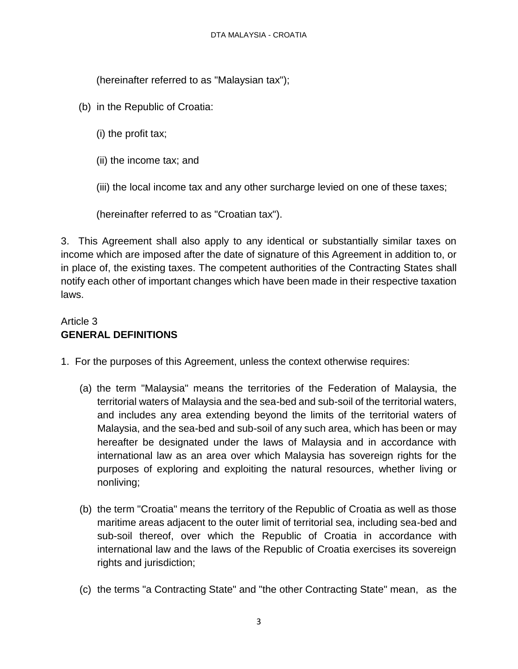(hereinafter referred to as "Malaysian tax");

- (b) in the Republic of Croatia:
	- (i) the profit tax;
	- (ii) the income tax; and
	- (iii) the local income tax and any other surcharge levied on one of these taxes;

(hereinafter referred to as "Croatian tax").

3. This Agreement shall also apply to any identical or substantially similar taxes on income which are imposed after the date of signature of this Agreement in addition to, or in place of, the existing taxes. The competent authorities of the Contracting States shall notify each other of important changes which have been made in their respective taxation laws.

#### Article 3 **GENERAL DEFINITIONS**

- 1. For the purposes of this Agreement, unless the context otherwise requires:
	- (a) the term "Malaysia" means the territories of the Federation of Malaysia, the territorial waters of Malaysia and the sea-bed and sub-soil of the territorial waters, and includes any area extending beyond the limits of the territorial waters of Malaysia, and the sea-bed and sub-soil of any such area, which has been or may hereafter be designated under the laws of Malaysia and in accordance with international law as an area over which Malaysia has sovereign rights for the purposes of exploring and exploiting the natural resources, whether living or nonliving;
	- (b) the term "Croatia" means the territory of the Republic of Croatia as well as those maritime areas adjacent to the outer limit of territorial sea, including sea-bed and sub-soil thereof, over which the Republic of Croatia in accordance with international law and the laws of the Republic of Croatia exercises its sovereign rights and jurisdiction;
	- (c) the terms "a Contracting State" and "the other Contracting State" mean, as the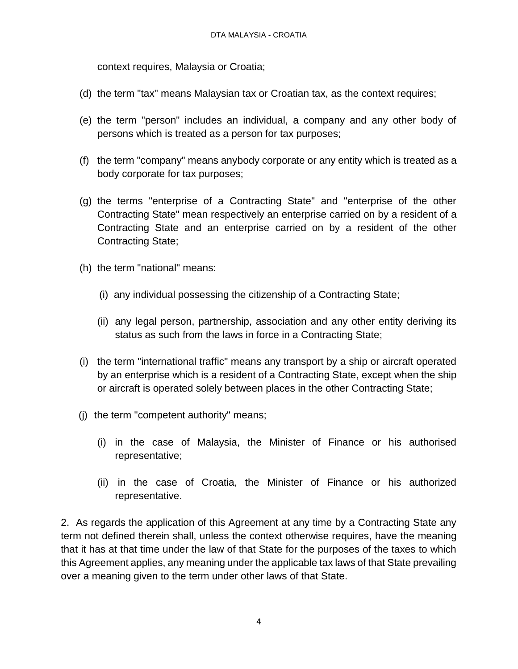context requires, Malaysia or Croatia;

- (d) the term "tax" means Malaysian tax or Croatian tax, as the context requires;
- (e) the term "person" includes an individual, a company and any other body of persons which is treated as a person for tax purposes;
- (f) the term "company" means anybody corporate or any entity which is treated as a body corporate for tax purposes;
- (g) the terms "enterprise of a Contracting State" and "enterprise of the other Contracting State" mean respectively an enterprise carried on by a resident of a Contracting State and an enterprise carried on by a resident of the other Contracting State;
- (h) the term "national" means:
	- (i) any individual possessing the citizenship of a Contracting State;
	- (ii) any legal person, partnership, association and any other entity deriving its status as such from the laws in force in a Contracting State;
- (i) the term "international traffic" means any transport by a ship or aircraft operated by an enterprise which is a resident of a Contracting State, except when the ship or aircraft is operated solely between places in the other Contracting State;
- (j) the term "competent authority" means;
	- (i) in the case of Malaysia, the Minister of Finance or his authorised representative;
	- (ii) in the case of Croatia, the Minister of Finance or his authorized representative.

2. As regards the application of this Agreement at any time by a Contracting State any term not defined therein shall, unless the context otherwise requires, have the meaning that it has at that time under the law of that State for the purposes of the taxes to which this Agreement applies, any meaning under the applicable tax laws of that State prevailing over a meaning given to the term under other laws of that State.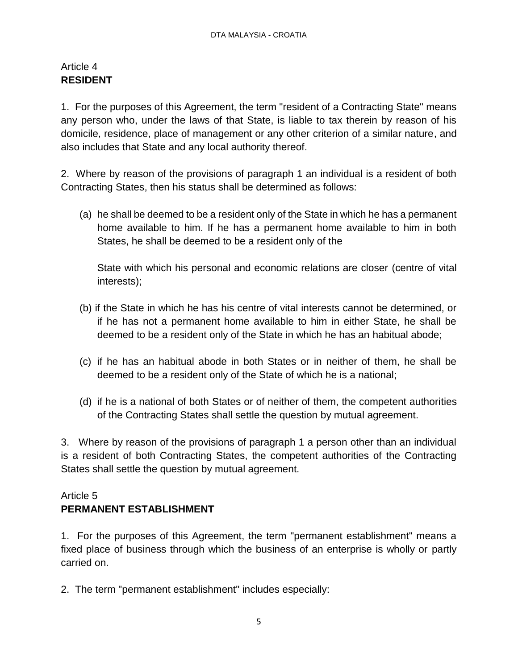#### Article 4 **RESIDENT**

1. For the purposes of this Agreement, the term "resident of a Contracting State" means any person who, under the laws of that State, is liable to tax therein by reason of his domicile, residence, place of management or any other criterion of a similar nature, and also includes that State and any local authority thereof.

2. Where by reason of the provisions of paragraph 1 an individual is a resident of both Contracting States, then his status shall be determined as follows:

(a) he shall be deemed to be a resident only of the State in which he has a permanent home available to him. If he has a permanent home available to him in both States, he shall be deemed to be a resident only of the

State with which his personal and economic relations are closer (centre of vital interests);

- (b) if the State in which he has his centre of vital interests cannot be determined, or if he has not a permanent home available to him in either State, he shall be deemed to be a resident only of the State in which he has an habitual abode;
- (c) if he has an habitual abode in both States or in neither of them, he shall be deemed to be a resident only of the State of which he is a national;
- (d) if he is a national of both States or of neither of them, the competent authorities of the Contracting States shall settle the question by mutual agreement.

3. Where by reason of the provisions of paragraph 1 a person other than an individual is a resident of both Contracting States, the competent authorities of the Contracting States shall settle the question by mutual agreement.

#### Article 5 **PERMANENT ESTABLISHMENT**

1. For the purposes of this Agreement, the term "permanent establishment" means a fixed place of business through which the business of an enterprise is wholly or partly carried on.

2. The term "permanent establishment" includes especially: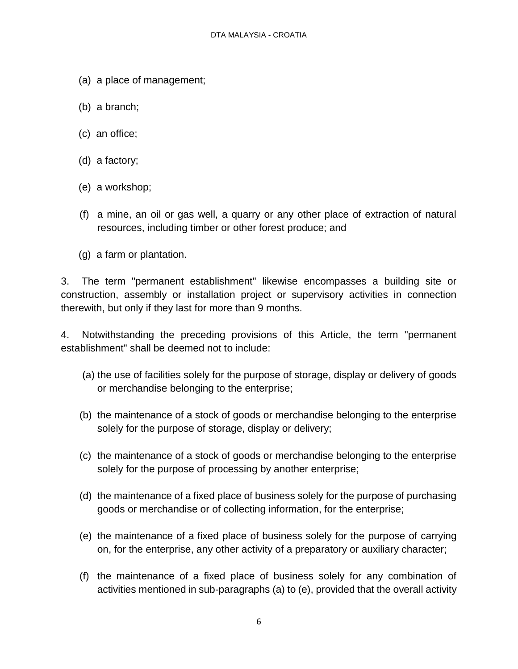- (a) a place of management;
- (b) a branch;
- (c) an office;
- (d) a factory;
- (e) a workshop;
- (f) a mine, an oil or gas well, a quarry or any other place of extraction of natural resources, including timber or other forest produce; and
- (g) a farm or plantation.

3. The term "permanent establishment" likewise encompasses a building site or construction, assembly or installation project or supervisory activities in connection therewith, but only if they last for more than 9 months.

4. Notwithstanding the preceding provisions of this Article, the term "permanent establishment" shall be deemed not to include:

- (a) the use of facilities solely for the purpose of storage, display or delivery of goods or merchandise belonging to the enterprise;
- (b) the maintenance of a stock of goods or merchandise belonging to the enterprise solely for the purpose of storage, display or delivery;
- (c) the maintenance of a stock of goods or merchandise belonging to the enterprise solely for the purpose of processing by another enterprise;
- (d) the maintenance of a fixed place of business solely for the purpose of purchasing goods or merchandise or of collecting information, for the enterprise;
- (e) the maintenance of a fixed place of business solely for the purpose of carrying on, for the enterprise, any other activity of a preparatory or auxiliary character;
- (f) the maintenance of a fixed place of business solely for any combination of activities mentioned in sub-paragraphs (a) to (e), provided that the overall activity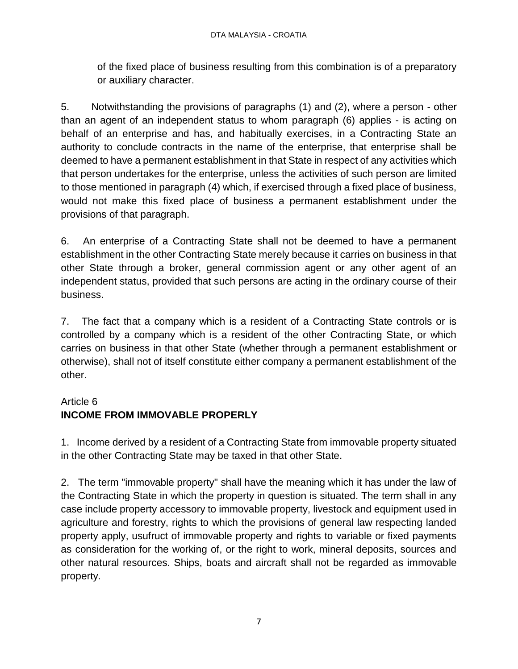of the fixed place of business resulting from this combination is of a preparatory or auxiliary character.

5. Notwithstanding the provisions of paragraphs (1) and (2), where a person - other than an agent of an independent status to whom paragraph (6) applies - is acting on behalf of an enterprise and has, and habitually exercises, in a Contracting State an authority to conclude contracts in the name of the enterprise, that enterprise shall be deemed to have a permanent establishment in that State in respect of any activities which that person undertakes for the enterprise, unless the activities of such person are limited to those mentioned in paragraph (4) which, if exercised through a fixed place of business, would not make this fixed place of business a permanent establishment under the provisions of that paragraph.

6. An enterprise of a Contracting State shall not be deemed to have a permanent establishment in the other Contracting State merely because it carries on business in that other State through a broker, general commission agent or any other agent of an independent status, provided that such persons are acting in the ordinary course of their business.

7. The fact that a company which is a resident of a Contracting State controls or is controlled by a company which is a resident of the other Contracting State, or which carries on business in that other State (whether through a permanent establishment or otherwise), shall not of itself constitute either company a permanent establishment of the other.

#### Article 6

# **INCOME FROM IMMOVABLE PROPERLY**

1. Income derived by a resident of a Contracting State from immovable property situated in the other Contracting State may be taxed in that other State.

2. The term "immovable property" shall have the meaning which it has under the law of the Contracting State in which the property in question is situated. The term shall in any case include property accessory to immovable property, livestock and equipment used in agriculture and forestry, rights to which the provisions of general law respecting landed property apply, usufruct of immovable property and rights to variable or fixed payments as consideration for the working of, or the right to work, mineral deposits, sources and other natural resources. Ships, boats and aircraft shall not be regarded as immovable property.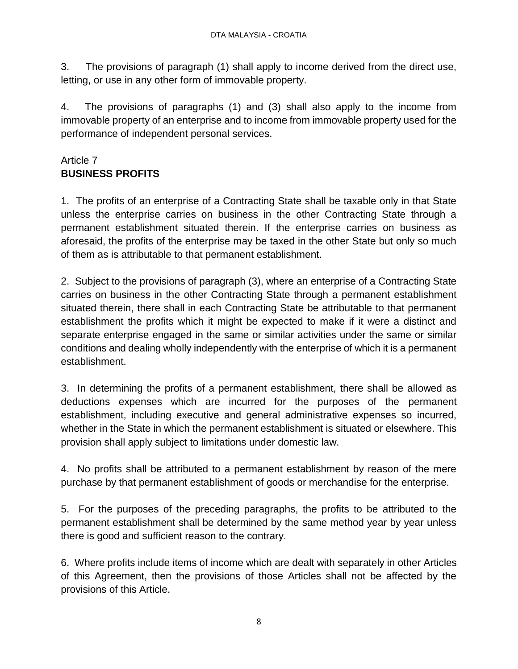3. The provisions of paragraph (1) shall apply to income derived from the direct use, letting, or use in any other form of immovable property.

4. The provisions of paragraphs (1) and (3) shall also apply to the income from immovable property of an enterprise and to income from immovable property used for the performance of independent personal services.

### Article 7 **BUSINESS PROFITS**

1. The profits of an enterprise of a Contracting State shall be taxable only in that State unless the enterprise carries on business in the other Contracting State through a permanent establishment situated therein. If the enterprise carries on business as aforesaid, the profits of the enterprise may be taxed in the other State but only so much of them as is attributable to that permanent establishment.

2. Subject to the provisions of paragraph (3), where an enterprise of a Contracting State carries on business in the other Contracting State through a permanent establishment situated therein, there shall in each Contracting State be attributable to that permanent establishment the profits which it might be expected to make if it were a distinct and separate enterprise engaged in the same or similar activities under the same or similar conditions and dealing wholly independently with the enterprise of which it is a permanent establishment.

3. In determining the profits of a permanent establishment, there shall be allowed as deductions expenses which are incurred for the purposes of the permanent establishment, including executive and general administrative expenses so incurred, whether in the State in which the permanent establishment is situated or elsewhere. This provision shall apply subject to limitations under domestic law.

4. No profits shall be attributed to a permanent establishment by reason of the mere purchase by that permanent establishment of goods or merchandise for the enterprise.

5. For the purposes of the preceding paragraphs, the profits to be attributed to the permanent establishment shall be determined by the same method year by year unless there is good and sufficient reason to the contrary.

6. Where profits include items of income which are dealt with separately in other Articles of this Agreement, then the provisions of those Articles shall not be affected by the provisions of this Article.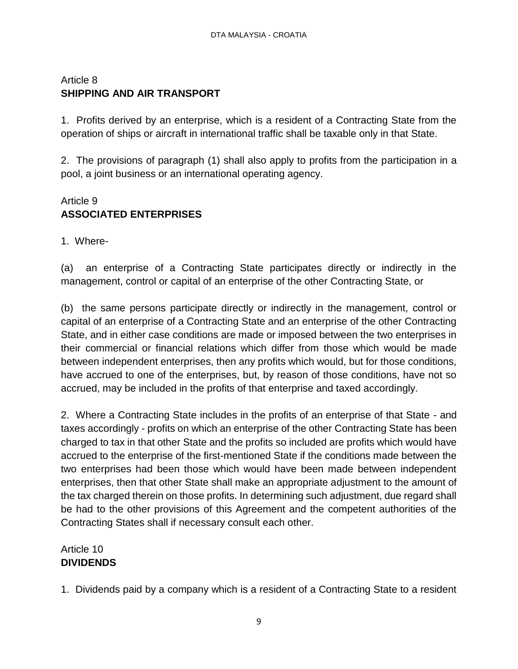### Article 8 **SHIPPING AND AIR TRANSPORT**

1. Profits derived by an enterprise, which is a resident of a Contracting State from the operation of ships or aircraft in international traffic shall be taxable only in that State.

2. The provisions of paragraph (1) shall also apply to profits from the participation in a pool, a joint business or an international operating agency.

### Article 9 **ASSOCIATED ENTERPRISES**

1. Where-

(a) an enterprise of a Contracting State participates directly or indirectly in the management, control or capital of an enterprise of the other Contracting State, or

(b) the same persons participate directly or indirectly in the management, control or capital of an enterprise of a Contracting State and an enterprise of the other Contracting State, and in either case conditions are made or imposed between the two enterprises in their commercial or financial relations which differ from those which would be made between independent enterprises, then any profits which would, but for those conditions, have accrued to one of the enterprises, but, by reason of those conditions, have not so accrued, may be included in the profits of that enterprise and taxed accordingly.

2. Where a Contracting State includes in the profits of an enterprise of that State - and taxes accordingly - profits on which an enterprise of the other Contracting State has been charged to tax in that other State and the profits so included are profits which would have accrued to the enterprise of the first-mentioned State if the conditions made between the two enterprises had been those which would have been made between independent enterprises, then that other State shall make an appropriate adjustment to the amount of the tax charged therein on those profits. In determining such adjustment, due regard shall be had to the other provisions of this Agreement and the competent authorities of the Contracting States shall if necessary consult each other.

### Article 10 **DIVIDENDS**

1. Dividends paid by a company which is a resident of a Contracting State to a resident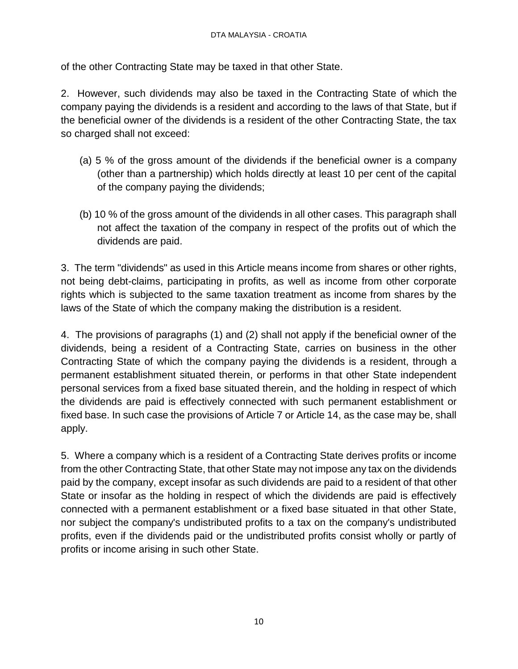of the other Contracting State may be taxed in that other State.

2. However, such dividends may also be taxed in the Contracting State of which the company paying the dividends is a resident and according to the laws of that State, but if the beneficial owner of the dividends is a resident of the other Contracting State, the tax so charged shall not exceed:

- (a) 5 % of the gross amount of the dividends if the beneficial owner is a company (other than a partnership) which holds directly at least 10 per cent of the capital of the company paying the dividends;
- (b) 10 % of the gross amount of the dividends in all other cases. This paragraph shall not affect the taxation of the company in respect of the profits out of which the dividends are paid.

3. The term "dividends" as used in this Article means income from shares or other rights, not being debt-claims, participating in profits, as well as income from other corporate rights which is subjected to the same taxation treatment as income from shares by the laws of the State of which the company making the distribution is a resident.

4. The provisions of paragraphs (1) and (2) shall not apply if the beneficial owner of the dividends, being a resident of a Contracting State, carries on business in the other Contracting State of which the company paying the dividends is a resident, through a permanent establishment situated therein, or performs in that other State independent personal services from a fixed base situated therein, and the holding in respect of which the dividends are paid is effectively connected with such permanent establishment or fixed base. In such case the provisions of Article 7 or Article 14, as the case may be, shall apply.

5. Where a company which is a resident of a Contracting State derives profits or income from the other Contracting State, that other State may not impose any tax on the dividends paid by the company, except insofar as such dividends are paid to a resident of that other State or insofar as the holding in respect of which the dividends are paid is effectively connected with a permanent establishment or a fixed base situated in that other State, nor subject the company's undistributed profits to a tax on the company's undistributed profits, even if the dividends paid or the undistributed profits consist wholly or partly of profits or income arising in such other State.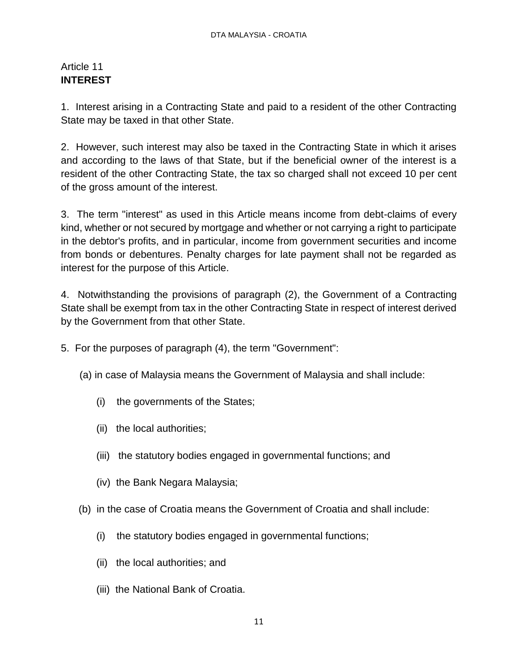#### Article 11 **INTEREST**

1. Interest arising in a Contracting State and paid to a resident of the other Contracting State may be taxed in that other State.

2. However, such interest may also be taxed in the Contracting State in which it arises and according to the laws of that State, but if the beneficial owner of the interest is a resident of the other Contracting State, the tax so charged shall not exceed 10 per cent of the gross amount of the interest.

3. The term "interest" as used in this Article means income from debt-claims of every kind, whether or not secured by mortgage and whether or not carrying a right to participate in the debtor's profits, and in particular, income from government securities and income from bonds or debentures. Penalty charges for late payment shall not be regarded as interest for the purpose of this Article.

4. Notwithstanding the provisions of paragraph (2), the Government of a Contracting State shall be exempt from tax in the other Contracting State in respect of interest derived by the Government from that other State.

- 5. For the purposes of paragraph (4), the term "Government":
	- (a) in case of Malaysia means the Government of Malaysia and shall include:
		- (i) the governments of the States;
		- (ii) the local authorities;
		- (iii) the statutory bodies engaged in governmental functions; and
		- (iv) the Bank Negara Malaysia;
	- (b) in the case of Croatia means the Government of Croatia and shall include:
		- (i) the statutory bodies engaged in governmental functions;
		- (ii) the local authorities; and
		- (iii) the National Bank of Croatia.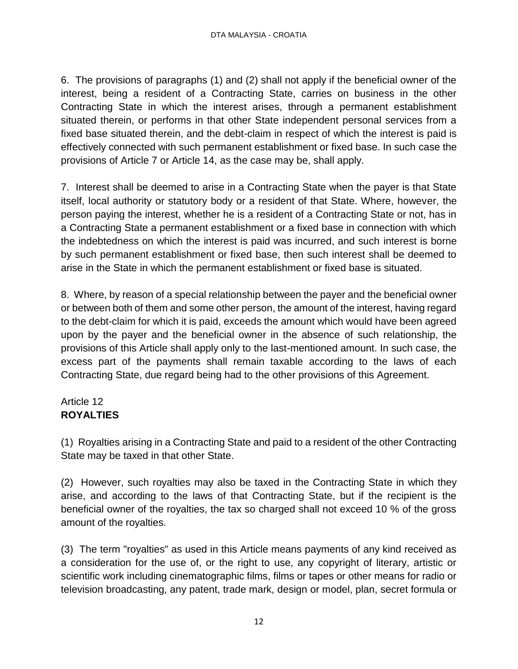6. The provisions of paragraphs (1) and (2) shall not apply if the beneficial owner of the interest, being a resident of a Contracting State, carries on business in the other Contracting State in which the interest arises, through a permanent establishment situated therein, or performs in that other State independent personal services from a fixed base situated therein, and the debt-claim in respect of which the interest is paid is effectively connected with such permanent establishment or fixed base. In such case the provisions of Article 7 or Article 14, as the case may be, shall apply.

7. Interest shall be deemed to arise in a Contracting State when the payer is that State itself, local authority or statutory body or a resident of that State. Where, however, the person paying the interest, whether he is a resident of a Contracting State or not, has in a Contracting State a permanent establishment or a fixed base in connection with which the indebtedness on which the interest is paid was incurred, and such interest is borne by such permanent establishment or fixed base, then such interest shall be deemed to arise in the State in which the permanent establishment or fixed base is situated.

8. Where, by reason of a special relationship between the payer and the beneficial owner or between both of them and some other person, the amount of the interest, having regard to the debt-claim for which it is paid, exceeds the amount which would have been agreed upon by the payer and the beneficial owner in the absence of such relationship, the provisions of this Article shall apply only to the last-mentioned amount. In such case, the excess part of the payments shall remain taxable according to the laws of each Contracting State, due regard being had to the other provisions of this Agreement.

### Article 12 **ROYALTIES**

(1) Royalties arising in a Contracting State and paid to a resident of the other Contracting State may be taxed in that other State.

(2) However, such royalties may also be taxed in the Contracting State in which they arise, and according to the laws of that Contracting State, but if the recipient is the beneficial owner of the royalties, the tax so charged shall not exceed 10 % of the gross amount of the royalties.

(3) The term "royalties" as used in this Article means payments of any kind received as a consideration for the use of, or the right to use, any copyright of literary, artistic or scientific work including cinematographic films, films or tapes or other means for radio or television broadcasting, any patent, trade mark, design or model, plan, secret formula or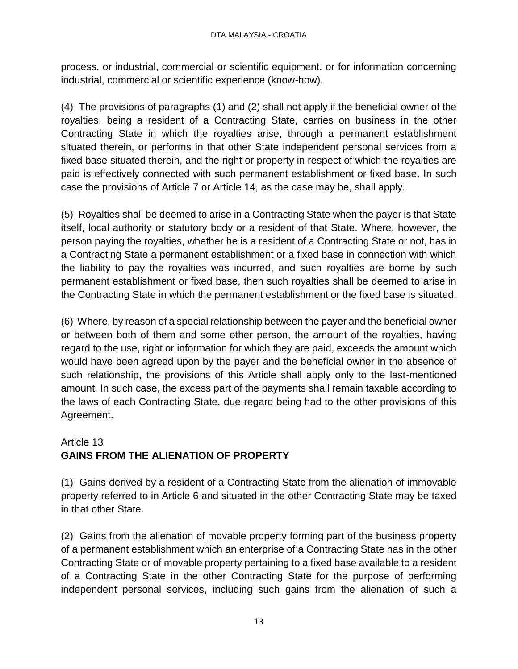process, or industrial, commercial or scientific equipment, or for information concerning industrial, commercial or scientific experience (know-how).

(4) The provisions of paragraphs (1) and (2) shall not apply if the beneficial owner of the royalties, being a resident of a Contracting State, carries on business in the other Contracting State in which the royalties arise, through a permanent establishment situated therein, or performs in that other State independent personal services from a fixed base situated therein, and the right or property in respect of which the royalties are paid is effectively connected with such permanent establishment or fixed base. In such case the provisions of Article 7 or Article 14, as the case may be, shall apply.

(5) Royalties shall be deemed to arise in a Contracting State when the payer is that State itself, local authority or statutory body or a resident of that State. Where, however, the person paying the royalties, whether he is a resident of a Contracting State or not, has in a Contracting State a permanent establishment or a fixed base in connection with which the liability to pay the royalties was incurred, and such royalties are borne by such permanent establishment or fixed base, then such royalties shall be deemed to arise in the Contracting State in which the permanent establishment or the fixed base is situated.

(6) Where, by reason of a special relationship between the payer and the beneficial owner or between both of them and some other person, the amount of the royalties, having regard to the use, right or information for which they are paid, exceeds the amount which would have been agreed upon by the payer and the beneficial owner in the absence of such relationship, the provisions of this Article shall apply only to the last-mentioned amount. In such case, the excess part of the payments shall remain taxable according to the laws of each Contracting State, due regard being had to the other provisions of this Agreement.

# Article 13 **GAINS FROM THE ALIENATION OF PROPERTY**

(1) Gains derived by a resident of a Contracting State from the alienation of immovable property referred to in Article 6 and situated in the other Contracting State may be taxed in that other State.

(2) Gains from the alienation of movable property forming part of the business property of a permanent establishment which an enterprise of a Contracting State has in the other Contracting State or of movable property pertaining to a fixed base available to a resident of a Contracting State in the other Contracting State for the purpose of performing independent personal services, including such gains from the alienation of such a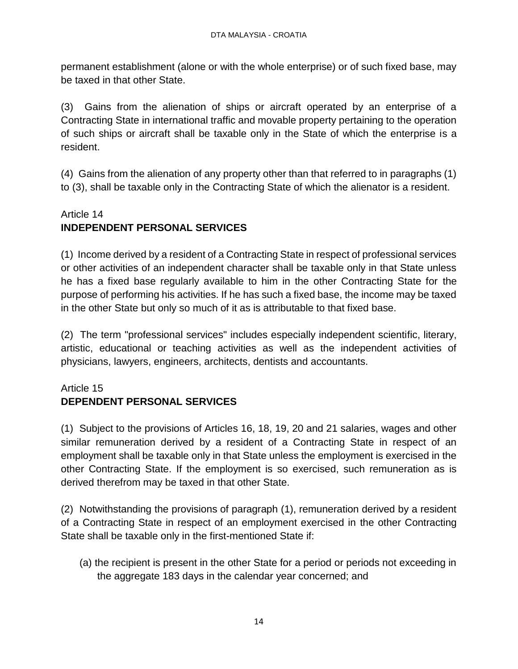permanent establishment (alone or with the whole enterprise) or of such fixed base, may be taxed in that other State.

(3) Gains from the alienation of ships or aircraft operated by an enterprise of a Contracting State in international traffic and movable property pertaining to the operation of such ships or aircraft shall be taxable only in the State of which the enterprise is a resident.

(4) Gains from the alienation of any property other than that referred to in paragraphs (1) to (3), shall be taxable only in the Contracting State of which the alienator is a resident.

### Article 14 **INDEPENDENT PERSONAL SERVICES**

(1) Income derived by a resident of a Contracting State in respect of professional services or other activities of an independent character shall be taxable only in that State unless he has a fixed base regularly available to him in the other Contracting State for the purpose of performing his activities. If he has such a fixed base, the income may be taxed in the other State but only so much of it as is attributable to that fixed base.

(2) The term "professional services" includes especially independent scientific, literary, artistic, educational or teaching activities as well as the independent activities of physicians, lawyers, engineers, architects, dentists and accountants.

#### Article 15 **DEPENDENT PERSONAL SERVICES**

(1) Subject to the provisions of Articles 16, 18, 19, 20 and 21 salaries, wages and other similar remuneration derived by a resident of a Contracting State in respect of an employment shall be taxable only in that State unless the employment is exercised in the other Contracting State. If the employment is so exercised, such remuneration as is derived therefrom may be taxed in that other State.

(2) Notwithstanding the provisions of paragraph (1), remuneration derived by a resident of a Contracting State in respect of an employment exercised in the other Contracting State shall be taxable only in the first-mentioned State if:

(a) the recipient is present in the other State for a period or periods not exceeding in the aggregate 183 days in the calendar year concerned; and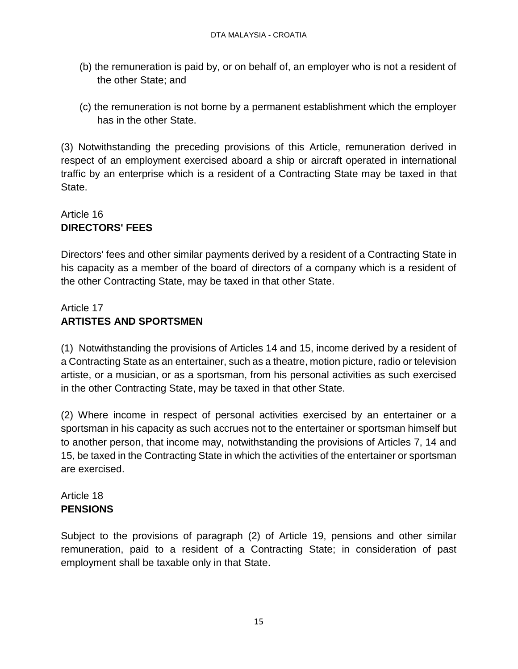- (b) the remuneration is paid by, or on behalf of, an employer who is not a resident of the other State; and
- (c) the remuneration is not borne by a permanent establishment which the employer has in the other State.

(3) Notwithstanding the preceding provisions of this Article, remuneration derived in respect of an employment exercised aboard a ship or aircraft operated in international traffic by an enterprise which is a resident of a Contracting State may be taxed in that State.

# Article 16 **DIRECTORS' FEES**

Directors' fees and other similar payments derived by a resident of a Contracting State in his capacity as a member of the board of directors of a company which is a resident of the other Contracting State, may be taxed in that other State.

### Article 17 **ARTISTES AND SPORTSMEN**

(1) Notwithstanding the provisions of Articles 14 and 15, income derived by a resident of a Contracting State as an entertainer, such as a theatre, motion picture, radio or television artiste, or a musician, or as a sportsman, from his personal activities as such exercised in the other Contracting State, may be taxed in that other State.

(2) Where income in respect of personal activities exercised by an entertainer or a sportsman in his capacity as such accrues not to the entertainer or sportsman himself but to another person, that income may, notwithstanding the provisions of Articles 7, 14 and 15, be taxed in the Contracting State in which the activities of the entertainer or sportsman are exercised.

#### Article 18 **PENSIONS**

Subject to the provisions of paragraph (2) of Article 19, pensions and other similar remuneration, paid to a resident of a Contracting State; in consideration of past employment shall be taxable only in that State.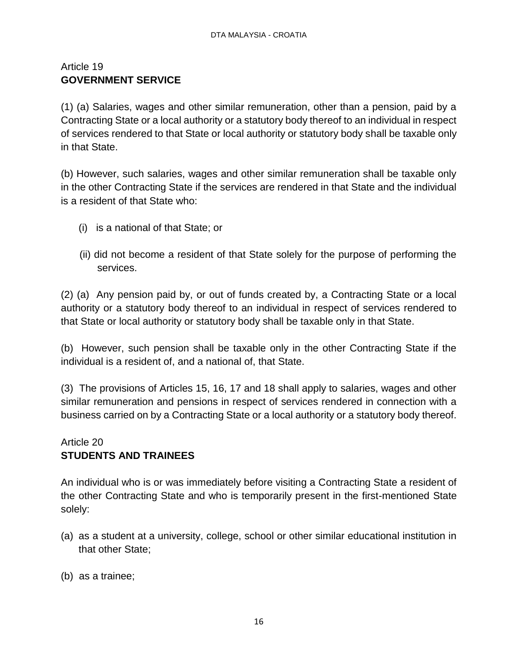### Article 19 **GOVERNMENT SERVICE**

(1) (a) Salaries, wages and other similar remuneration, other than a pension, paid by a Contracting State or a local authority or a statutory body thereof to an individual in respect of services rendered to that State or local authority or statutory body shall be taxable only in that State.

(b) However, such salaries, wages and other similar remuneration shall be taxable only in the other Contracting State if the services are rendered in that State and the individual is a resident of that State who:

- (i) is a national of that State; or
- (ii) did not become a resident of that State solely for the purpose of performing the services.

(2) (a) Any pension paid by, or out of funds created by, a Contracting State or a local authority or a statutory body thereof to an individual in respect of services rendered to that State or local authority or statutory body shall be taxable only in that State.

(b) However, such pension shall be taxable only in the other Contracting State if the individual is a resident of, and a national of, that State.

(3) The provisions of Articles 15, 16, 17 and 18 shall apply to salaries, wages and other similar remuneration and pensions in respect of services rendered in connection with a business carried on by a Contracting State or a local authority or a statutory body thereof.

### Article 20 **STUDENTS AND TRAINEES**

An individual who is or was immediately before visiting a Contracting State a resident of the other Contracting State and who is temporarily present in the first-mentioned State solely:

- (a) as a student at a university, college, school or other similar educational institution in that other State;
- (b) as a trainee;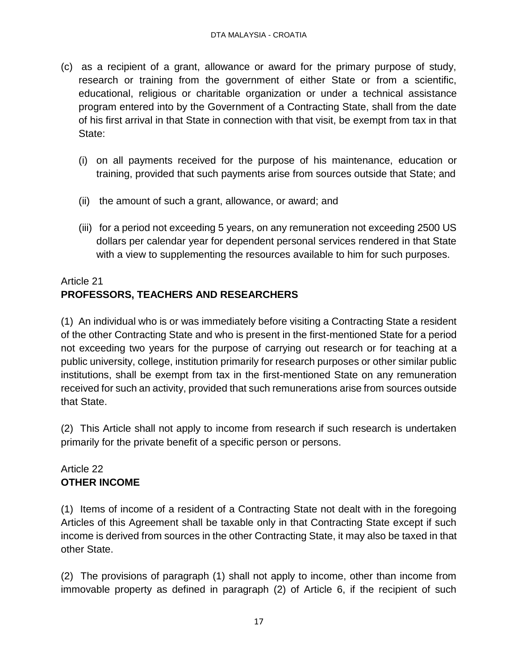- (c) as a recipient of a grant, allowance or award for the primary purpose of study, research or training from the government of either State or from a scientific, educational, religious or charitable organization or under a technical assistance program entered into by the Government of a Contracting State, shall from the date of his first arrival in that State in connection with that visit, be exempt from tax in that State:
	- (i) on all payments received for the purpose of his maintenance, education or training, provided that such payments arise from sources outside that State; and
	- (ii) the amount of such a grant, allowance, or award; and
	- (iii) for a period not exceeding 5 years, on any remuneration not exceeding 2500 US dollars per calendar year for dependent personal services rendered in that State with a view to supplementing the resources available to him for such purposes.

### Article 21 **PROFESSORS, TEACHERS AND RESEARCHERS**

(1) An individual who is or was immediately before visiting a Contracting State a resident of the other Contracting State and who is present in the first-mentioned State for a period not exceeding two years for the purpose of carrying out research or for teaching at a public university, college, institution primarily for research purposes or other similar public institutions, shall be exempt from tax in the first-mentioned State on any remuneration received for such an activity, provided that such remunerations arise from sources outside that State.

(2) This Article shall not apply to income from research if such research is undertaken primarily for the private benefit of a specific person or persons.

### Article 22 **OTHER INCOME**

(1) Items of income of a resident of a Contracting State not dealt with in the foregoing Articles of this Agreement shall be taxable only in that Contracting State except if such income is derived from sources in the other Contracting State, it may also be taxed in that other State.

(2) The provisions of paragraph (1) shall not apply to income, other than income from immovable property as defined in paragraph (2) of Article 6, if the recipient of such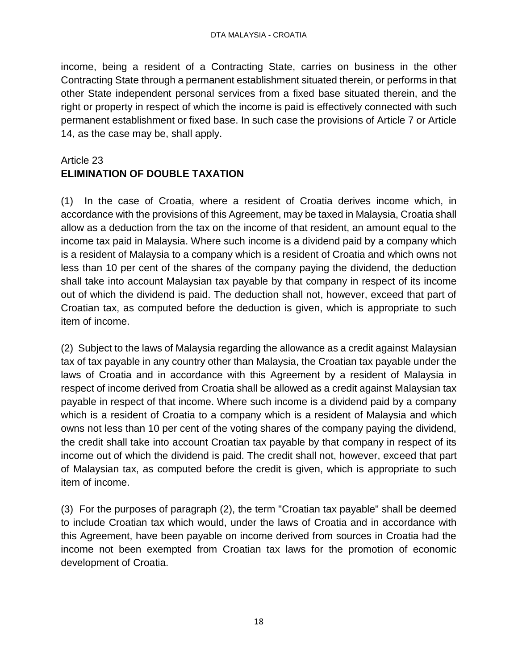income, being a resident of a Contracting State, carries on business in the other Contracting State through a permanent establishment situated therein, or performs in that other State independent personal services from a fixed base situated therein, and the right or property in respect of which the income is paid is effectively connected with such permanent establishment or fixed base. In such case the provisions of Article 7 or Article 14, as the case may be, shall apply.

### Article 23 **ELIMINATION OF DOUBLE TAXATION**

(1) In the case of Croatia, where a resident of Croatia derives income which, in accordance with the provisions of this Agreement, may be taxed in Malaysia, Croatia shall allow as a deduction from the tax on the income of that resident, an amount equal to the income tax paid in Malaysia. Where such income is a dividend paid by a company which is a resident of Malaysia to a company which is a resident of Croatia and which owns not less than 10 per cent of the shares of the company paying the dividend, the deduction shall take into account Malaysian tax payable by that company in respect of its income out of which the dividend is paid. The deduction shall not, however, exceed that part of Croatian tax, as computed before the deduction is given, which is appropriate to such item of income.

(2) Subject to the laws of Malaysia regarding the allowance as a credit against Malaysian tax of tax payable in any country other than Malaysia, the Croatian tax payable under the laws of Croatia and in accordance with this Agreement by a resident of Malaysia in respect of income derived from Croatia shall be allowed as a credit against Malaysian tax payable in respect of that income. Where such income is a dividend paid by a company which is a resident of Croatia to a company which is a resident of Malaysia and which owns not less than 10 per cent of the voting shares of the company paying the dividend, the credit shall take into account Croatian tax payable by that company in respect of its income out of which the dividend is paid. The credit shall not, however, exceed that part of Malaysian tax, as computed before the credit is given, which is appropriate to such item of income.

(3) For the purposes of paragraph (2), the term "Croatian tax payable" shall be deemed to include Croatian tax which would, under the laws of Croatia and in accordance with this Agreement, have been payable on income derived from sources in Croatia had the income not been exempted from Croatian tax laws for the promotion of economic development of Croatia.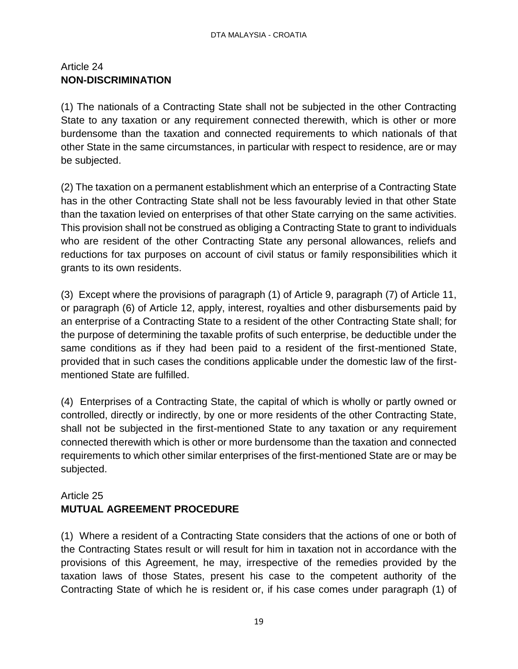### Article 24 **NON-DISCRIMINATION**

(1) The nationals of a Contracting State shall not be subjected in the other Contracting State to any taxation or any requirement connected therewith, which is other or more burdensome than the taxation and connected requirements to which nationals of that other State in the same circumstances, in particular with respect to residence, are or may be subjected.

(2) The taxation on a permanent establishment which an enterprise of a Contracting State has in the other Contracting State shall not be less favourably levied in that other State than the taxation levied on enterprises of that other State carrying on the same activities. This provision shall not be construed as obliging a Contracting State to grant to individuals who are resident of the other Contracting State any personal allowances, reliefs and reductions for tax purposes on account of civil status or family responsibilities which it grants to its own residents.

(3) Except where the provisions of paragraph (1) of Article 9, paragraph (7) of Article 11, or paragraph (6) of Article 12, apply, interest, royalties and other disbursements paid by an enterprise of a Contracting State to a resident of the other Contracting State shall; for the purpose of determining the taxable profits of such enterprise, be deductible under the same conditions as if they had been paid to a resident of the first-mentioned State, provided that in such cases the conditions applicable under the domestic law of the firstmentioned State are fulfilled.

(4) Enterprises of a Contracting State, the capital of which is wholly or partly owned or controlled, directly or indirectly, by one or more residents of the other Contracting State, shall not be subjected in the first-mentioned State to any taxation or any requirement connected therewith which is other or more burdensome than the taxation and connected requirements to which other similar enterprises of the first-mentioned State are or may be subjected.

# Article 25 **MUTUAL AGREEMENT PROCEDURE**

(1) Where a resident of a Contracting State considers that the actions of one or both of the Contracting States result or will result for him in taxation not in accordance with the provisions of this Agreement, he may, irrespective of the remedies provided by the taxation laws of those States, present his case to the competent authority of the Contracting State of which he is resident or, if his case comes under paragraph (1) of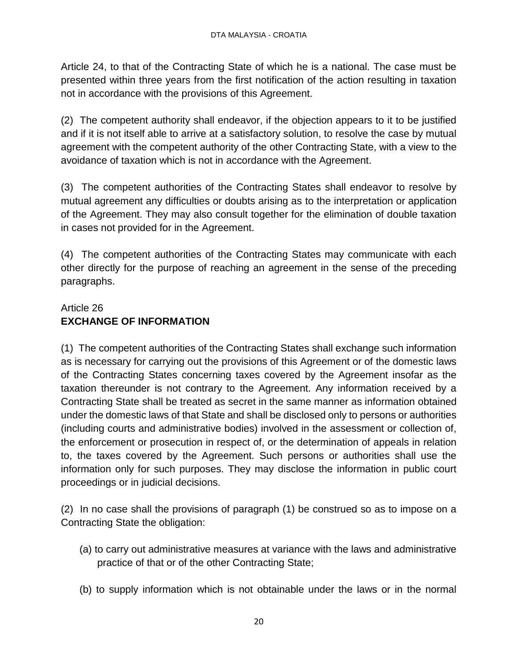Article 24, to that of the Contracting State of which he is a national. The case must be presented within three years from the first notification of the action resulting in taxation not in accordance with the provisions of this Agreement.

(2) The competent authority shall endeavor, if the objection appears to it to be justified and if it is not itself able to arrive at a satisfactory solution, to resolve the case by mutual agreement with the competent authority of the other Contracting State, with a view to the avoidance of taxation which is not in accordance with the Agreement.

(3) The competent authorities of the Contracting States shall endeavor to resolve by mutual agreement any difficulties or doubts arising as to the interpretation or application of the Agreement. They may also consult together for the elimination of double taxation in cases not provided for in the Agreement.

(4) The competent authorities of the Contracting States may communicate with each other directly for the purpose of reaching an agreement in the sense of the preceding paragraphs.

### Article 26 **EXCHANGE OF INFORMATION**

(1) The competent authorities of the Contracting States shall exchange such information as is necessary for carrying out the provisions of this Agreement or of the domestic laws of the Contracting States concerning taxes covered by the Agreement insofar as the taxation thereunder is not contrary to the Agreement. Any information received by a Contracting State shall be treated as secret in the same manner as information obtained under the domestic laws of that State and shall be disclosed only to persons or authorities (including courts and administrative bodies) involved in the assessment or collection of, the enforcement or prosecution in respect of, or the determination of appeals in relation to, the taxes covered by the Agreement. Such persons or authorities shall use the information only for such purposes. They may disclose the information in public court proceedings or in judicial decisions.

(2) In no case shall the provisions of paragraph (1) be construed so as to impose on a Contracting State the obligation:

- (a) to carry out administrative measures at variance with the laws and administrative practice of that or of the other Contracting State;
- (b) to supply information which is not obtainable under the laws or in the normal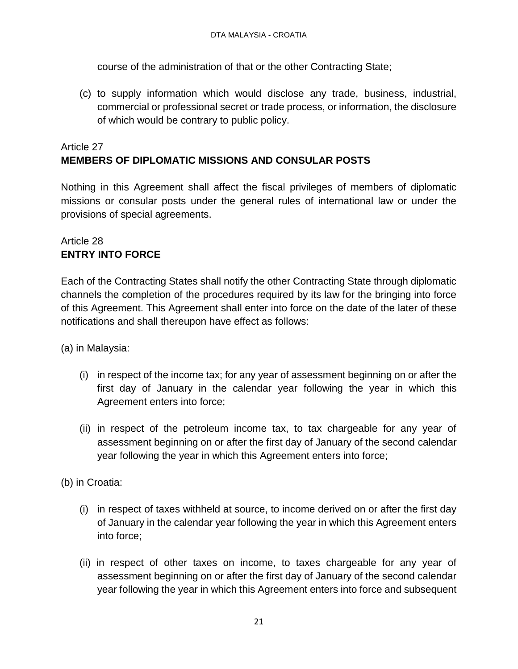course of the administration of that or the other Contracting State;

(c) to supply information which would disclose any trade, business, industrial, commercial or professional secret or trade process, or information, the disclosure of which would be contrary to public policy.

# Article 27 **MEMBERS OF DIPLOMATIC MISSIONS AND CONSULAR POSTS**

Nothing in this Agreement shall affect the fiscal privileges of members of diplomatic missions or consular posts under the general rules of international law or under the provisions of special agreements.

### Article 28 **ENTRY INTO FORCE**

Each of the Contracting States shall notify the other Contracting State through diplomatic channels the completion of the procedures required by its law for the bringing into force of this Agreement. This Agreement shall enter into force on the date of the later of these notifications and shall thereupon have effect as follows:

(a) in Malaysia:

- (i) in respect of the income tax; for any year of assessment beginning on or after the first day of January in the calendar year following the year in which this Agreement enters into force;
- (ii) in respect of the petroleum income tax, to tax chargeable for any year of assessment beginning on or after the first day of January of the second calendar year following the year in which this Agreement enters into force;

(b) in Croatia:

- (i) in respect of taxes withheld at source, to income derived on or after the first day of January in the calendar year following the year in which this Agreement enters into force;
- (ii) in respect of other taxes on income, to taxes chargeable for any year of assessment beginning on or after the first day of January of the second calendar year following the year in which this Agreement enters into force and subsequent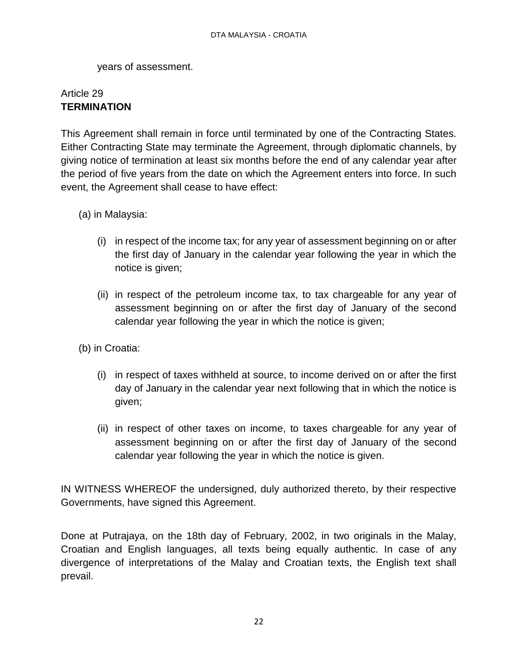years of assessment.

### Article 29 **TERMINATION**

This Agreement shall remain in force until terminated by one of the Contracting States. Either Contracting State may terminate the Agreement, through diplomatic channels, by giving notice of termination at least six months before the end of any calendar year after the period of five years from the date on which the Agreement enters into force. In such event, the Agreement shall cease to have effect:

- (a) in Malaysia:
	- (i) in respect of the income tax; for any year of assessment beginning on or after the first day of January in the calendar year following the year in which the notice is given;
	- (ii) in respect of the petroleum income tax, to tax chargeable for any year of assessment beginning on or after the first day of January of the second calendar year following the year in which the notice is given;

(b) in Croatia:

- (i) in respect of taxes withheld at source, to income derived on or after the first day of January in the calendar year next following that in which the notice is given;
- (ii) in respect of other taxes on income, to taxes chargeable for any year of assessment beginning on or after the first day of January of the second calendar year following the year in which the notice is given.

IN WITNESS WHEREOF the undersigned, duly authorized thereto, by their respective Governments, have signed this Agreement.

Done at Putrajaya, on the 18th day of February, 2002, in two originals in the Malay, Croatian and English languages, all texts being equally authentic. In case of any divergence of interpretations of the Malay and Croatian texts, the English text shall prevail.